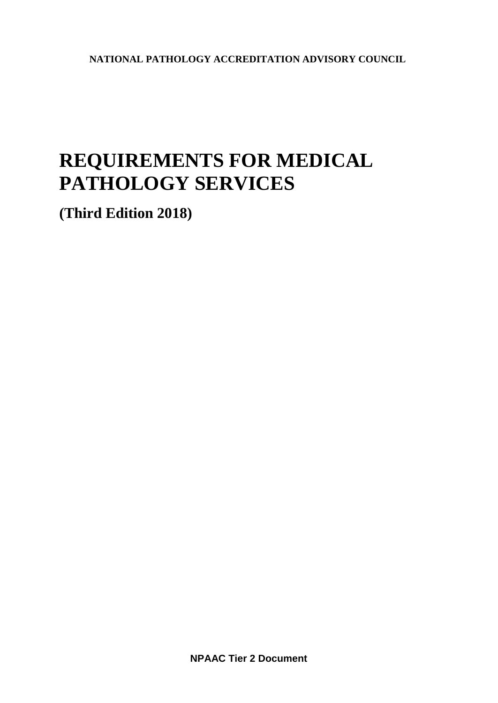**NATIONAL PATHOLOGY ACCREDITATION ADVISORY COUNCIL**

# **REQUIREMENTS FOR MEDICAL PATHOLOGY SERVICES**

**(Third Edition 2018)**

**NPAAC Tier 2 Document**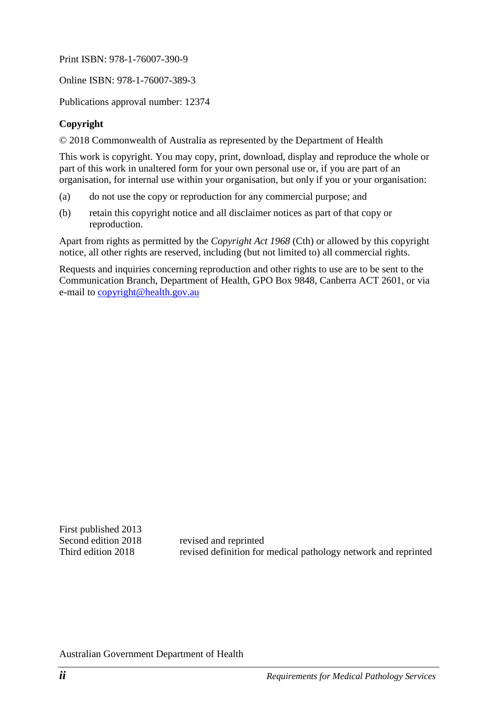Print ISBN: 978-1-76007-390-9

Online ISBN: 978-1-76007-389-3

Publications approval number: 12374

### **Copyright**

© 2018 Commonwealth of Australia as represented by the Department of Health

This work is copyright. You may copy, print, download, display and reproduce the whole or part of this work in unaltered form for your own personal use or, if you are part of an organisation, for internal use within your organisation, but only if you or your organisation:

- (a) do not use the copy or reproduction for any commercial purpose; and
- (b) retain this copyright notice and all disclaimer notices as part of that copy or reproduction.

Apart from rights as permitted by the *Copyright Act 1968* (Cth) or allowed by this copyright notice*,* all other rights are reserved, including (but not limited to) all commercial rights.

Requests and inquiries concerning reproduction and other rights to use are to be sent to the Communication Branch, Department of Health, GPO Box 9848, Canberra ACT 2601, or via e-mail to [copyright@health.gov.au](mailto:copyright@health.gov.au)

First published 2013

Second edition 2018 revised and reprinted Third edition 2018 revised definition for medical pathology network and reprinted

Australian Government Department of Health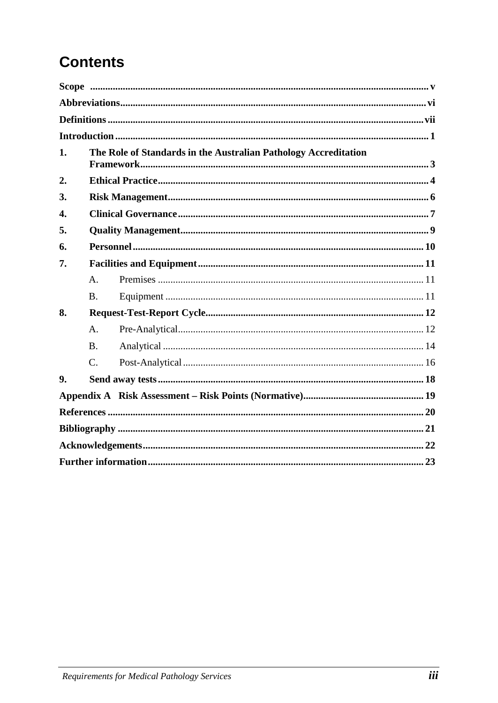# **Contents**

| 1. | The Role of Standards in the Australian Pathology Accreditation |  |  |  |  |
|----|-----------------------------------------------------------------|--|--|--|--|
| 2. |                                                                 |  |  |  |  |
| 3. |                                                                 |  |  |  |  |
| 4. |                                                                 |  |  |  |  |
| 5. |                                                                 |  |  |  |  |
| 6. |                                                                 |  |  |  |  |
| 7. |                                                                 |  |  |  |  |
|    | A.                                                              |  |  |  |  |
|    | <b>B.</b>                                                       |  |  |  |  |
| 8. |                                                                 |  |  |  |  |
|    | A.                                                              |  |  |  |  |
|    | B <sub>1</sub>                                                  |  |  |  |  |
|    | $\mathcal{C}$ .                                                 |  |  |  |  |
| 9. |                                                                 |  |  |  |  |
|    |                                                                 |  |  |  |  |
|    |                                                                 |  |  |  |  |
|    |                                                                 |  |  |  |  |
|    |                                                                 |  |  |  |  |
|    |                                                                 |  |  |  |  |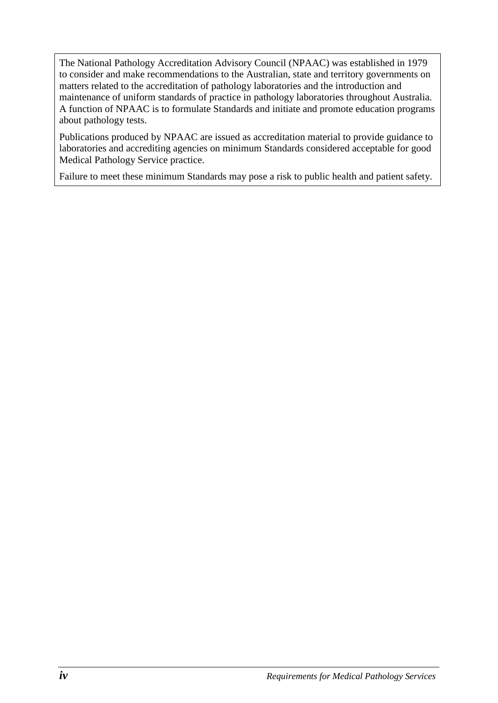The National Pathology Accreditation Advisory Council (NPAAC) was established in 1979 to consider and make recommendations to the Australian, state and territory governments on matters related to the accreditation of pathology laboratories and the introduction and maintenance of uniform standards of practice in pathology laboratories throughout Australia. A function of NPAAC is to formulate Standards and initiate and promote education programs about pathology tests.

Publications produced by NPAAC are issued as accreditation material to provide guidance to laboratories and accrediting agencies on minimum Standards considered acceptable for good Medical Pathology Service practice.

Failure to meet these minimum Standards may pose a risk to public health and patient safety.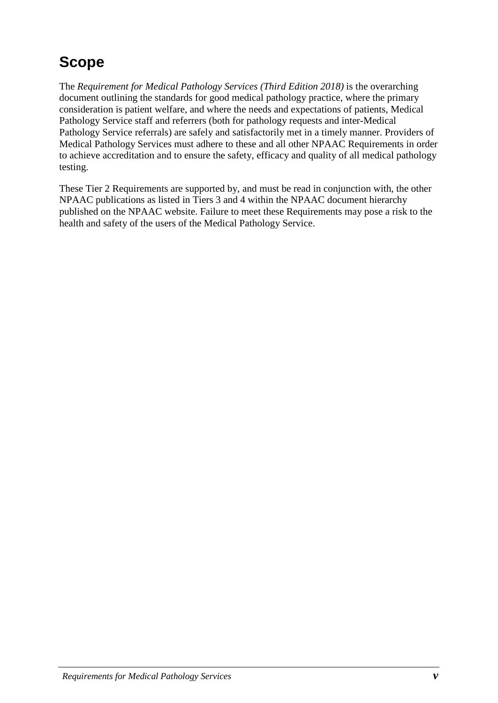# <span id="page-4-0"></span>**Scope**

The *Requirement for Medical Pathology Services (Third Edition 2018)* is the overarching document outlining the standards for good medical pathology practice, where the primary consideration is patient welfare, and where the needs and expectations of patients, Medical Pathology Service staff and referrers (both for pathology requests and inter-Medical Pathology Service referrals) are safely and satisfactorily met in a timely manner. Providers of Medical Pathology Services must adhere to these and all other NPAAC Requirements in order to achieve accreditation and to ensure the safety, efficacy and quality of all medical pathology testing.

These Tier 2 Requirements are supported by, and must be read in conjunction with, the other NPAAC publications as listed in Tiers 3 and 4 within the NPAAC document hierarchy published on the NPAAC website. Failure to meet these Requirements may pose a risk to the health and safety of the users of the Medical Pathology Service.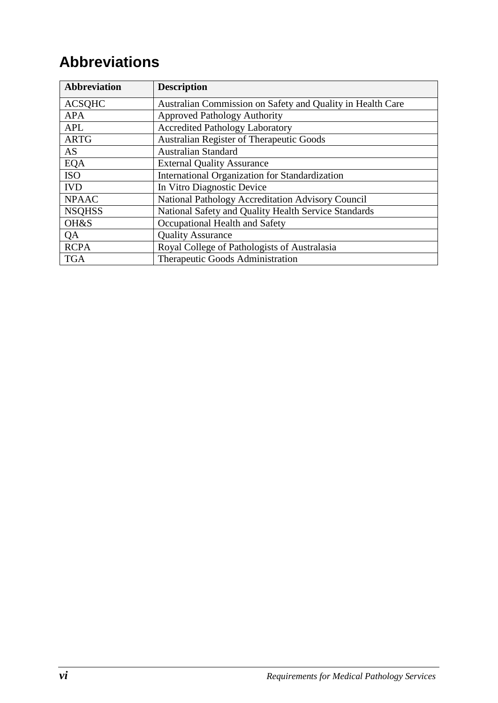### <span id="page-5-0"></span>**Abbreviations**

| <b>Abbreviation</b> | <b>Description</b>                                         |
|---------------------|------------------------------------------------------------|
| <b>ACSQHC</b>       | Australian Commission on Safety and Quality in Health Care |
| <b>APA</b>          | <b>Approved Pathology Authority</b>                        |
| <b>APL</b>          | <b>Accredited Pathology Laboratory</b>                     |
| <b>ARTG</b>         | <b>Australian Register of Therapeutic Goods</b>            |
| <b>AS</b>           | <b>Australian Standard</b>                                 |
| <b>EQA</b>          | <b>External Quality Assurance</b>                          |
| <b>ISO</b>          | International Organization for Standardization             |
| <b>IVD</b>          | In Vitro Diagnostic Device                                 |
| <b>NPAAC</b>        | National Pathology Accreditation Advisory Council          |
| <b>NSQHSS</b>       | National Safety and Quality Health Service Standards       |
| OH&S                | Occupational Health and Safety                             |
| QA                  | <b>Quality Assurance</b>                                   |
| <b>RCPA</b>         | Royal College of Pathologists of Australasia               |
| <b>TGA</b>          | Therapeutic Goods Administration                           |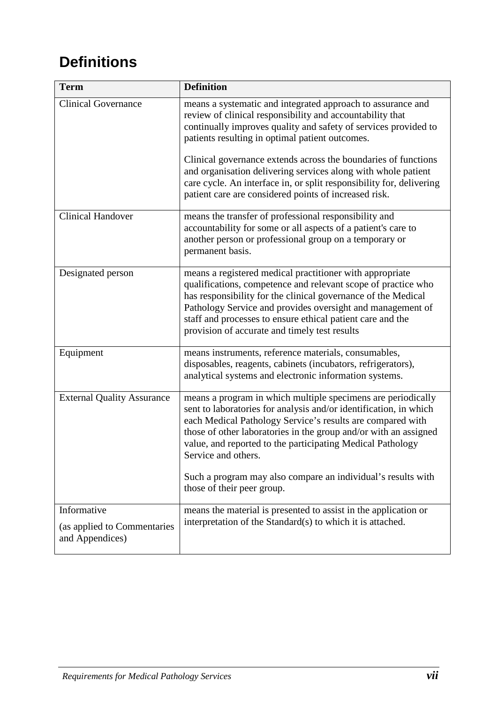## <span id="page-6-0"></span>**Definitions**

| <b>Term</b>                                                   | <b>Definition</b>                                                                                                                                                                                                                                                                                                                                                                                                                                                                                                  |
|---------------------------------------------------------------|--------------------------------------------------------------------------------------------------------------------------------------------------------------------------------------------------------------------------------------------------------------------------------------------------------------------------------------------------------------------------------------------------------------------------------------------------------------------------------------------------------------------|
| <b>Clinical Governance</b>                                    | means a systematic and integrated approach to assurance and<br>review of clinical responsibility and accountability that<br>continually improves quality and safety of services provided to<br>patients resulting in optimal patient outcomes.<br>Clinical governance extends across the boundaries of functions<br>and organisation delivering services along with whole patient<br>care cycle. An interface in, or split responsibility for, delivering<br>patient care are considered points of increased risk. |
| <b>Clinical Handover</b>                                      | means the transfer of professional responsibility and                                                                                                                                                                                                                                                                                                                                                                                                                                                              |
|                                                               | accountability for some or all aspects of a patient's care to<br>another person or professional group on a temporary or<br>permanent basis.                                                                                                                                                                                                                                                                                                                                                                        |
| Designated person                                             | means a registered medical practitioner with appropriate<br>qualifications, competence and relevant scope of practice who<br>has responsibility for the clinical governance of the Medical<br>Pathology Service and provides oversight and management of<br>staff and processes to ensure ethical patient care and the<br>provision of accurate and timely test results                                                                                                                                            |
| Equipment                                                     | means instruments, reference materials, consumables,<br>disposables, reagents, cabinets (incubators, refrigerators),<br>analytical systems and electronic information systems.                                                                                                                                                                                                                                                                                                                                     |
| <b>External Quality Assurance</b>                             | means a program in which multiple specimens are periodically<br>sent to laboratories for analysis and/or identification, in which<br>each Medical Pathology Service's results are compared with<br>those of other laboratories in the group and/or with an assigned<br>value, and reported to the participating Medical Pathology<br>Service and others.<br>Such a program may also compare an individual's results with                                                                                           |
|                                                               | those of their peer group.                                                                                                                                                                                                                                                                                                                                                                                                                                                                                         |
| Informative<br>(as applied to Commentaries<br>and Appendices) | means the material is presented to assist in the application or<br>interpretation of the Standard(s) to which it is attached.                                                                                                                                                                                                                                                                                                                                                                                      |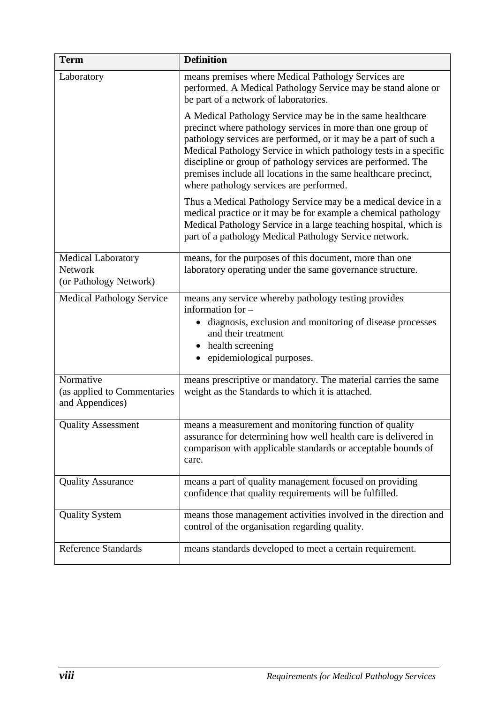| <b>Term</b>                                                           | <b>Definition</b>                                                                                                                                                                                                                                                                                                                                                                                                                             |  |  |
|-----------------------------------------------------------------------|-----------------------------------------------------------------------------------------------------------------------------------------------------------------------------------------------------------------------------------------------------------------------------------------------------------------------------------------------------------------------------------------------------------------------------------------------|--|--|
| Laboratory                                                            | means premises where Medical Pathology Services are<br>performed. A Medical Pathology Service may be stand alone or<br>be part of a network of laboratories.                                                                                                                                                                                                                                                                                  |  |  |
|                                                                       | A Medical Pathology Service may be in the same healthcare<br>precinct where pathology services in more than one group of<br>pathology services are performed, or it may be a part of such a<br>Medical Pathology Service in which pathology tests in a specific<br>discipline or group of pathology services are performed. The<br>premises include all locations in the same healthcare precinct,<br>where pathology services are performed. |  |  |
|                                                                       | Thus a Medical Pathology Service may be a medical device in a<br>medical practice or it may be for example a chemical pathology<br>Medical Pathology Service in a large teaching hospital, which is<br>part of a pathology Medical Pathology Service network.                                                                                                                                                                                 |  |  |
| <b>Medical Laboratory</b><br><b>Network</b><br>(or Pathology Network) | means, for the purposes of this document, more than one<br>laboratory operating under the same governance structure.                                                                                                                                                                                                                                                                                                                          |  |  |
| <b>Medical Pathology Service</b>                                      | means any service whereby pathology testing provides<br>information for -<br>diagnosis, exclusion and monitoring of disease processes<br>and their treatment<br>• health screening<br>epidemiological purposes.                                                                                                                                                                                                                               |  |  |
| Normative<br>(as applied to Commentaries<br>and Appendices)           | means prescriptive or mandatory. The material carries the same<br>weight as the Standards to which it is attached.                                                                                                                                                                                                                                                                                                                            |  |  |
| <b>Quality Assessment</b>                                             | means a measurement and monitoring function of quality<br>assurance for determining how well health care is delivered in<br>comparison with applicable standards or acceptable bounds of<br>care.                                                                                                                                                                                                                                             |  |  |
| <b>Quality Assurance</b>                                              | means a part of quality management focused on providing<br>confidence that quality requirements will be fulfilled.                                                                                                                                                                                                                                                                                                                            |  |  |
| <b>Quality System</b>                                                 | means those management activities involved in the direction and<br>control of the organisation regarding quality.                                                                                                                                                                                                                                                                                                                             |  |  |
| <b>Reference Standards</b>                                            | means standards developed to meet a certain requirement.                                                                                                                                                                                                                                                                                                                                                                                      |  |  |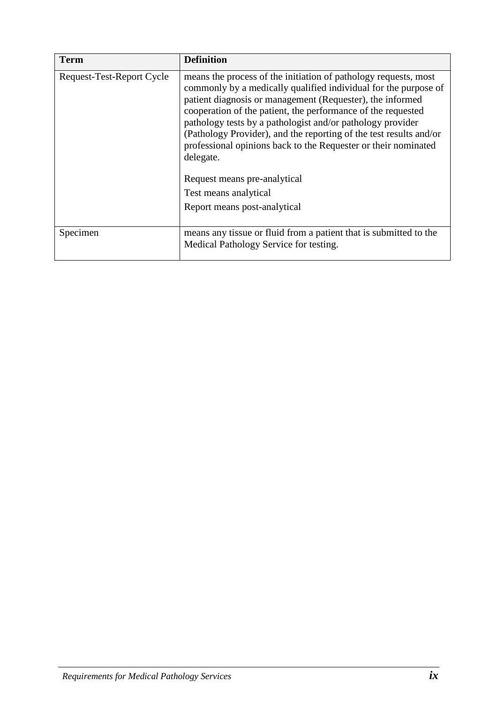| <b>Term</b>                      | <b>Definition</b>                                                                                                                                                                                                                                                                                                                                                                                                                                                                                                                                                           |
|----------------------------------|-----------------------------------------------------------------------------------------------------------------------------------------------------------------------------------------------------------------------------------------------------------------------------------------------------------------------------------------------------------------------------------------------------------------------------------------------------------------------------------------------------------------------------------------------------------------------------|
| <b>Request-Test-Report Cycle</b> | means the process of the initiation of pathology requests, most<br>commonly by a medically qualified individual for the purpose of<br>patient diagnosis or management (Requester), the informed<br>cooperation of the patient, the performance of the requested<br>pathology tests by a pathologist and/or pathology provider<br>(Pathology Provider), and the reporting of the test results and/or<br>professional opinions back to the Requester or their nominated<br>delegate.<br>Request means pre-analytical<br>Test means analytical<br>Report means post-analytical |
| Specimen                         | means any tissue or fluid from a patient that is submitted to the<br>Medical Pathology Service for testing.                                                                                                                                                                                                                                                                                                                                                                                                                                                                 |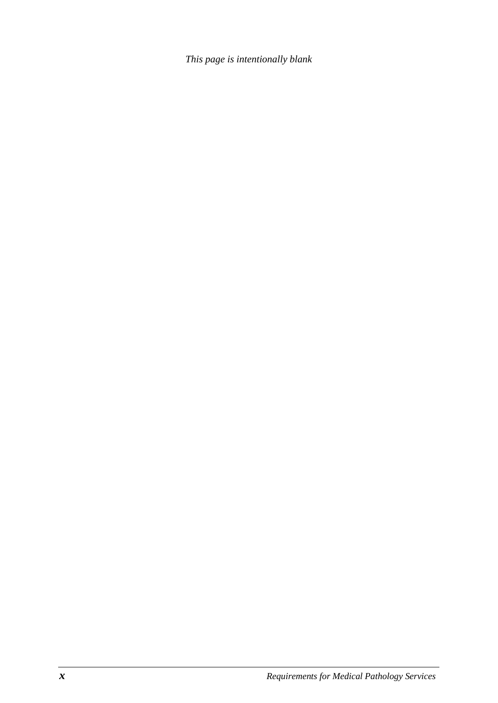*This page is intentionally blank*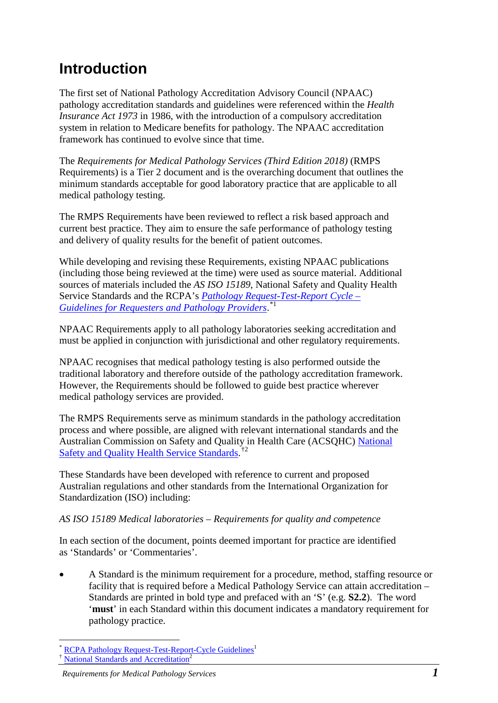### <span id="page-10-0"></span>**Introduction**

The first set of National Pathology Accreditation Advisory Council (NPAAC) pathology accreditation standards and guidelines were referenced within the *Health Insurance Act 1973* in 1986, with the introduction of a compulsory accreditation system in relation to Medicare benefits for pathology. The NPAAC accreditation framework has continued to evolve since that time.

The *Requirements for Medical Pathology Services (Third Edition 2018)* (RMPS Requirements) is a Tier 2 document and is the overarching document that outlines the minimum standards acceptable for good laboratory practice that are applicable to all medical pathology testing.

The RMPS Requirements have been reviewed to reflect a risk based approach and current best practice. They aim to ensure the safe performance of pathology testing and delivery of quality results for the benefit of patient outcomes.

While developing and revising these Requirements, existing NPAAC publications (including those being reviewed at the time) were used as source material. Additional sources of materials included the *AS ISO 15189*, National Safety and Quality Health Service Standards and the RCPA's *[Pathology Request-Test-Report Cycle –](https://www.rcpa.edu.au/getattachment/cb14bc34-0a01-4c09-839c-614e098c84b6/Pathology-Request-Test-Report-Cycle-Guidelines.aspx) [Guidelines for Requesters and Pathology Providers](https://www.rcpa.edu.au/getattachment/cb14bc34-0a01-4c09-839c-614e098c84b6/Pathology-Request-Test-Report-Cycle-Guidelines.aspx)*. [\\*1](#page-10-1)

NPAAC Requirements apply to all pathology laboratories seeking accreditation and must be applied in conjunction with jurisdictional and other regulatory requirements.

NPAAC recognises that medical pathology testing is also performed outside the traditional laboratory and therefore outside of the pathology accreditation framework. However, the Requirements should be followed to guide best practice wherever medical pathology services are provided.

The RMPS Requirements serve as minimum standards in the pathology accreditation process and where possible, are aligned with relevant international standards and the Australian Commission on Safety and Quality in Health Care (ACSQHC) National [Safety and Quality Health Service Standards.](https://www.safetyandquality.gov.au/our-work/national-standards-and-accreditation/)<sup>[†2](#page-10-2)</sup>

These Standards have been developed with reference to current and proposed Australian regulations and other standards from the International Organization for Standardization (ISO) including:

#### *AS ISO 15189 Medical laboratories – Requirements for quality and competence*

In each section of the document, points deemed important for practice are identified as 'Standards' or 'Commentaries'.

• A Standard is the minimum requirement for a procedure, method, staffing resource or facility that is required before a Medical Pathology Service can attain accreditation – Standards are printed in bold type and prefaced with an 'S' (e.g. **S2.2**). The word '**must**' in each Standard within this document indicates a mandatory requirement for pathology practice.

<sup>\*&</sup>lt;br><u>\* RCPA Pathology Request-Test-Report-Cycle Guidelines<sup>1</sup></u> \* <u>RCPA Pathology Request-Test-Report-Cycle Guidelines</u><sup>1</sup><br><sup>[†](https://www.rcpa.edu.au/getattachment/cb14bc34-0a01-4c09-839c-614e098c84b6/Pathology-Request-Test-Report-Cycle-Guidelines.aspx)</sup> <u>National Standards and Accreditation</u><sup>2</sup>

<span id="page-10-2"></span><span id="page-10-1"></span>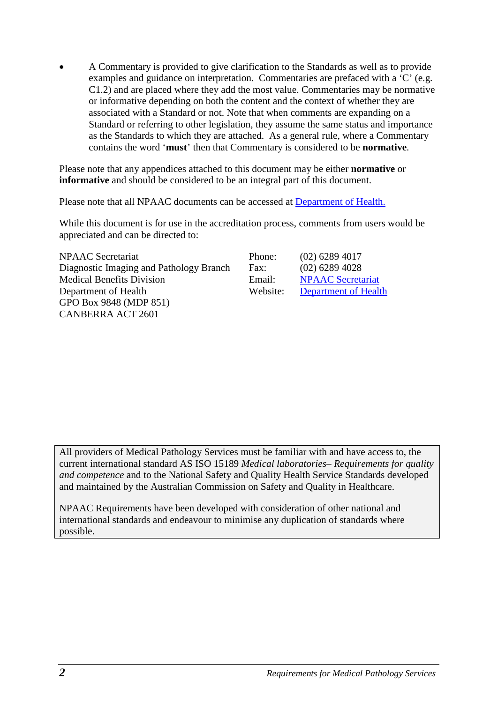• A Commentary is provided to give clarification to the Standards as well as to provide examples and guidance on interpretation. Commentaries are prefaced with a 'C' (e.g. C1.2) and are placed where they add the most value. Commentaries may be normative or informative depending on both the content and the context of whether they are associated with a Standard or not. Note that when comments are expanding on a Standard or referring to other legislation, they assume the same status and importance as the Standards to which they are attached. As a general rule, where a Commentary contains the word '**must**' then that Commentary is considered to be **normative**.

Please note that any appendices attached to this document may be either **normative** or **informative** and should be considered to be an integral part of this document.

Please note that all NPAAC documents can be accessed at [Department of Health.](http://www.health.gov.au/internet/main/publishing.nsf/Content/health-npaac-publication.htm)

While this document is for use in the accreditation process, comments from users would be appreciated and can be directed to:

| <b>NPAAC</b> Secretariat                | Phone:   | $(02)$ 6289 4017         |
|-----------------------------------------|----------|--------------------------|
| Diagnostic Imaging and Pathology Branch | Fax:     | $(02)$ 6289 4028         |
| <b>Medical Benefits Division</b>        | Email:   | <b>NPAAC</b> Secretariat |
| Department of Health                    | Website: | Department of Health     |
| GPO Box 9848 (MDP 851)                  |          |                          |
| <b>CANBERRA ACT 2601</b>                |          |                          |

| Phone:   | $(02)$ 6289 4017            |
|----------|-----------------------------|
| Fax:     | $(02)$ 6289 4028            |
| Email:   | <b>NPAAC</b> Secretariat    |
| Website: | <b>Department of Health</b> |
|          |                             |

All providers of Medical Pathology Services must be familiar with and have access to, the current international standard AS ISO 15189 *Medical laboratories– Requirements for quality and competence* and to the National Safety and Quality Health Service Standards developed and maintained by the Australian Commission on Safety and Quality in Healthcare.

NPAAC Requirements have been developed with consideration of other national and international standards and endeavour to minimise any duplication of standards where possible.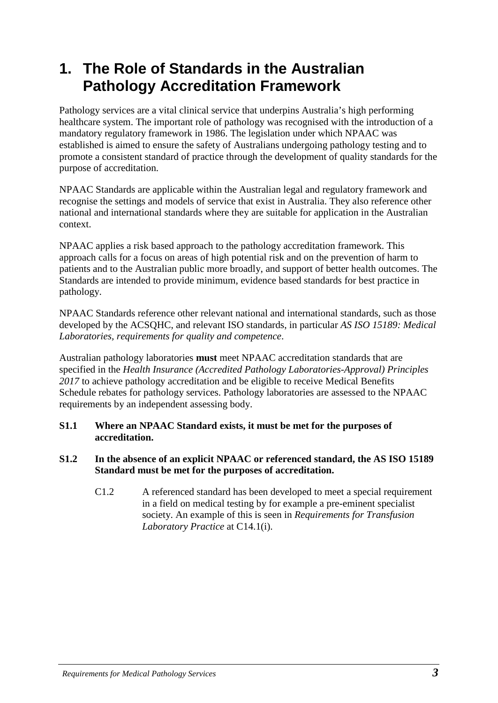### <span id="page-12-0"></span>**1. The Role of Standards in the Australian Pathology Accreditation Framework**

Pathology services are a vital clinical service that underpins Australia's high performing healthcare system. The important role of pathology was recognised with the introduction of a mandatory regulatory framework in 1986. The legislation under which NPAAC was established is aimed to ensure the safety of Australians undergoing pathology testing and to promote a consistent standard of practice through the development of quality standards for the purpose of accreditation.

NPAAC Standards are applicable within the Australian legal and regulatory framework and recognise the settings and models of service that exist in Australia. They also reference other national and international standards where they are suitable for application in the Australian context.

NPAAC applies a risk based approach to the pathology accreditation framework. This approach calls for a focus on areas of high potential risk and on the prevention of harm to patients and to the Australian public more broadly, and support of better health outcomes. The Standards are intended to provide minimum, evidence based standards for best practice in pathology.

NPAAC Standards reference other relevant national and international standards, such as those developed by the ACSQHC, and relevant ISO standards, in particular *AS ISO 15189: Medical Laboratories, requirements for quality and competence*.

Australian pathology laboratories **must** meet NPAAC accreditation standards that are specified in the *Health Insurance (Accredited Pathology Laboratories-Approval) Principles 2017* to achieve pathology accreditation and be eligible to receive Medical Benefits Schedule rebates for pathology services. Pathology laboratories are assessed to the NPAAC requirements by an independent assessing body.

### **S1.1 Where an NPAAC Standard exists, it must be met for the purposes of accreditation.**

### **S1.2 In the absence of an explicit NPAAC or referenced standard, the AS ISO 15189 Standard must be met for the purposes of accreditation.**

C1.2 A referenced standard has been developed to meet a special requirement in a field on medical testing by for example a pre-eminent specialist society. An example of this is seen in *Requirements for Transfusion Laboratory Practice* at C14.1(i).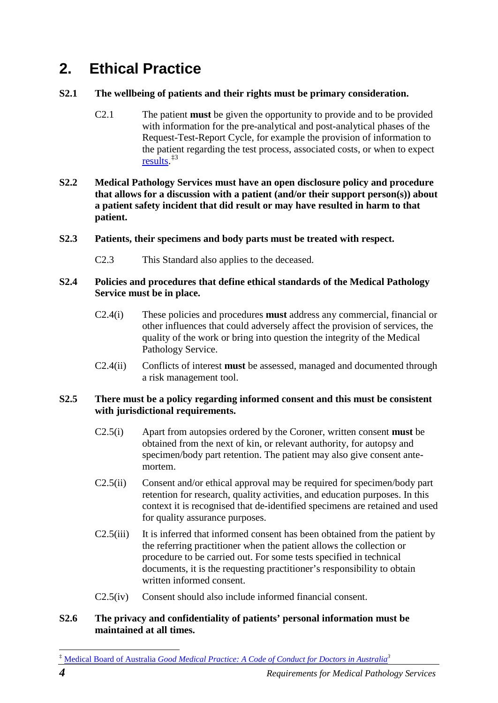### <span id="page-13-0"></span>**2. Ethical Practice**

### **S2.1 The wellbeing of patients and their rights must be primary consideration.**

- C2.1 The patient **must** be given the opportunity to provide and to be provided with information for the pre-analytical and post-analytical phases of the Request-Test-Report Cycle, for example the provision of information to the patient regarding the test process, associated costs, or when to expect [results.](http://www.medicalboard.gov.au/Codes-Guidelines-Policies.aspx) [‡](#page-13-1)3
- **S2.2 Medical Pathology Services must have an open disclosure policy and procedure that allows for a discussion with a patient (and/or their support person(s)) about a patient safety incident that did result or may have resulted in harm to that patient.**
- **S2.3 Patients, their specimens and body parts must be treated with respect.**
	- C2.3 This Standard also applies to the deceased.

### **S2.4 Policies and procedures that define ethical standards of the Medical Pathology Service must be in place.**

- C2.4(i) These policies and procedures **must** address any commercial, financial or other influences that could adversely affect the provision of services, the quality of the work or bring into question the integrity of the Medical Pathology Service.
- C2.4(ii) Conflicts of interest **must** be assessed, managed and documented through a risk management tool.

### **S2.5 There must be a policy regarding informed consent and this must be consistent with jurisdictional requirements.**

- C2.5(i) Apart from autopsies ordered by the Coroner, written consent **must** be obtained from the next of kin, or relevant authority, for autopsy and specimen/body part retention. The patient may also give consent antemortem.
- C2.5(ii) Consent and/or ethical approval may be required for specimen/body part retention for research, quality activities, and education purposes. In this context it is recognised that de-identified specimens are retained and used for quality assurance purposes.
- C2.5(iii) It is inferred that informed consent has been obtained from the patient by the referring practitioner when the patient allows the collection or procedure to be carried out. For some tests specified in technical documents, it is the requesting practitioner's responsibility to obtain written informed consent.
- C2.5(iv) Consent should also include informed financial consent.

### **S2.6 The privacy and confidentiality of patients' personal information must be maintained at all times.**

<span id="page-13-1"></span> <sup>‡</sup> Medical Board of Australia *[Good Medical Practice: A Code of Conduct for Doctors in Australia](http://www.medicalboard.gov.au/Codes-Guidelines-Policies.aspx)<sup>3</sup>*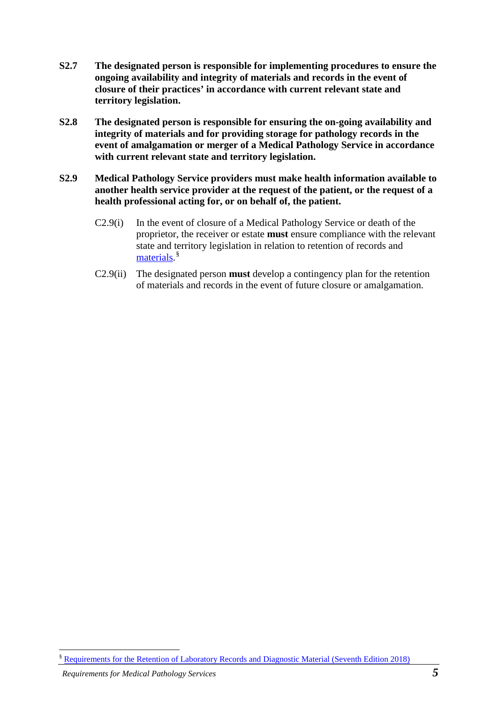- **S2.7 The designated person is responsible for implementing procedures to ensure the ongoing availability and integrity of materials and records in the event of closure of their practices' in accordance with current relevant state and territory legislation.**
- **S2.8 The designated person is responsible for ensuring the on-going availability and integrity of materials and for providing storage for pathology records in the event of amalgamation or merger of a Medical Pathology Service in accordance with current relevant state and territory legislation.**
- **S2.9 Medical Pathology Service providers must make health information available to another health service provider at the request of the patient, or the request of a health professional acting for, or on behalf of, the patient.**
	- C2.9(i) In the event of closure of a Medical Pathology Service or death of the proprietor, the receiver or estate **must** ensure compliance with the relevant state and territory legislation in relation to retention of records and [materials.](http://www.health.gov.au/internet/main/publishing.nsf/Content/health-npaac-publication.htm)<sup>[§](#page-14-0)</sup>
	- C2.9(ii) The designated person **must** develop a contingency plan for the retention of materials and records in the event of future closure or amalgamation.

<span id="page-14-0"></span> <sup>§</sup> [Requirements for the Retention of Laboratory Records and Diagnostic Material \(Seventh Edition 2018\)](http://www.health.gov.au/internet/main/publishing.nsf/Content/health-npaac-publication.htm)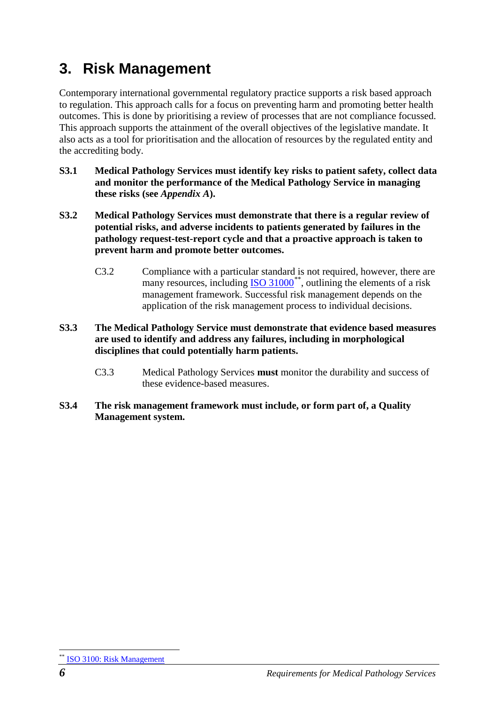### <span id="page-15-0"></span>**3. Risk Management**

Contemporary international governmental regulatory practice supports a risk based approach to regulation. This approach calls for a focus on preventing harm and promoting better health outcomes. This is done by prioritising a review of processes that are not compliance focussed. This approach supports the attainment of the overall objectives of the legislative mandate. It also acts as a tool for prioritisation and the allocation of resources by the regulated entity and the accrediting body.

- **S3.1 Medical Pathology Services must identify key risks to patient safety, collect data and monitor the performance of the Medical Pathology Service in managing these risks (see** *Appendix A***).**
- **S3.2 Medical Pathology Services must demonstrate that there is a regular review of potential risks, and adverse incidents to patients generated by failures in the pathology request-test-report cycle and that a proactive approach is taken to prevent harm and promote better outcomes.**
	- C3.2 Compliance with a particular standard is not required, however, there are many resources, including ISO  $31000^{\degree}$ , outlining the elements of a risk management framework. Successful risk management depends on the application of the risk management process to individual decisions.
- **S3.3 The Medical Pathology Service must demonstrate that evidence based measures are used to identify and address any failures, including in morphological disciplines that could potentially harm patients.**
	- C3.3 Medical Pathology Services **must** monitor the durability and success of these evidence-based measures.
- **S3.4 The risk management framework must include, or form part of, a Quality Management system.**

<span id="page-15-1"></span>**[ISO 3100: Risk Management](https://www.iso.org/iso-31000-risk-management.html)**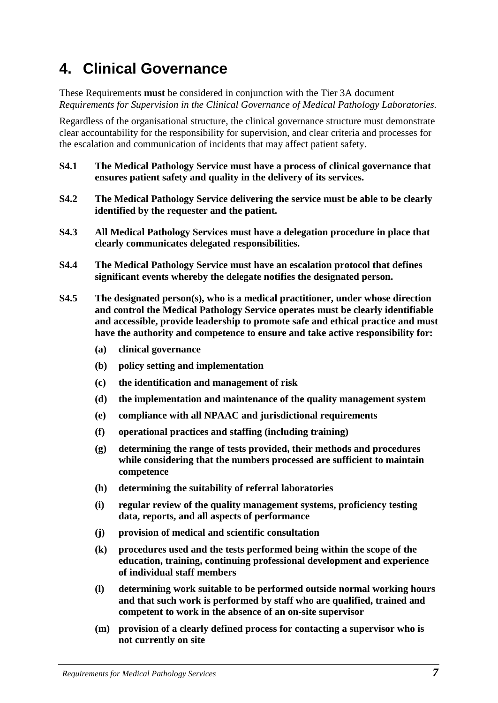### <span id="page-16-0"></span>**4. Clinical Governance**

These Requirements **must** be considered in conjunction with the Tier 3A document *Requirements for Supervision in the Clinical Governance of Medical Pathology Laboratories.*

Regardless of the organisational structure, the clinical governance structure must demonstrate clear accountability for the responsibility for supervision, and clear criteria and processes for the escalation and communication of incidents that may affect patient safety.

- **S4.1 The Medical Pathology Service must have a process of clinical governance that ensures patient safety and quality in the delivery of its services.**
- **S4.2 The Medical Pathology Service delivering the service must be able to be clearly identified by the requester and the patient.**
- **S4.3 All Medical Pathology Services must have a delegation procedure in place that clearly communicates delegated responsibilities.**
- **S4.4 The Medical Pathology Service must have an escalation protocol that defines significant events whereby the delegate notifies the designated person.**
- **S4.5 The designated person(s), who is a medical practitioner, under whose direction and control the Medical Pathology Service operates must be clearly identifiable and accessible, provide leadership to promote safe and ethical practice and must have the authority and competence to ensure and take active responsibility for:**
	- **(a) clinical governance**
	- **(b) policy setting and implementation**
	- **(c) the identification and management of risk**
	- **(d) the implementation and maintenance of the quality management system**
	- **(e) compliance with all NPAAC and jurisdictional requirements**
	- **(f) operational practices and staffing (including training)**
	- **(g) determining the range of tests provided, their methods and procedures while considering that the numbers processed are sufficient to maintain competence**
	- **(h) determining the suitability of referral laboratories**
	- **(i) regular review of the quality management systems, proficiency testing data, reports, and all aspects of performance**
	- **(j) provision of medical and scientific consultation**
	- **(k) procedures used and the tests performed being within the scope of the education, training, continuing professional development and experience of individual staff members**
	- **(l) determining work suitable to be performed outside normal working hours and that such work is performed by staff who are qualified, trained and competent to work in the absence of an on-site supervisor**
	- **(m) provision of a clearly defined process for contacting a supervisor who is not currently on site**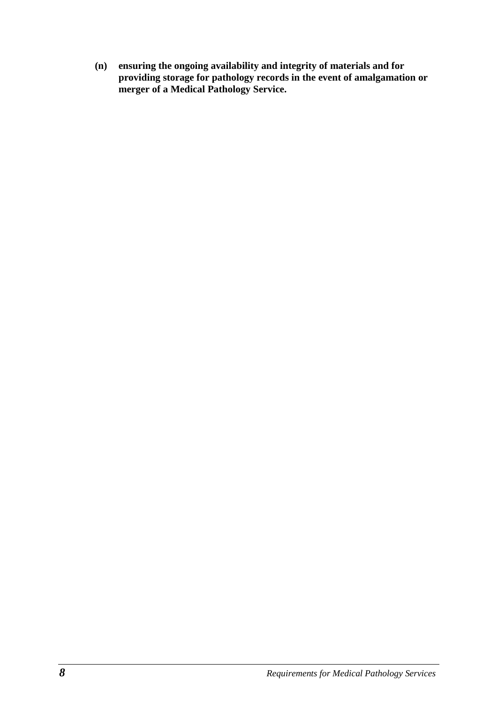**(n) ensuring the ongoing availability and integrity of materials and for providing storage for pathology records in the event of amalgamation or merger of a Medical Pathology Service.**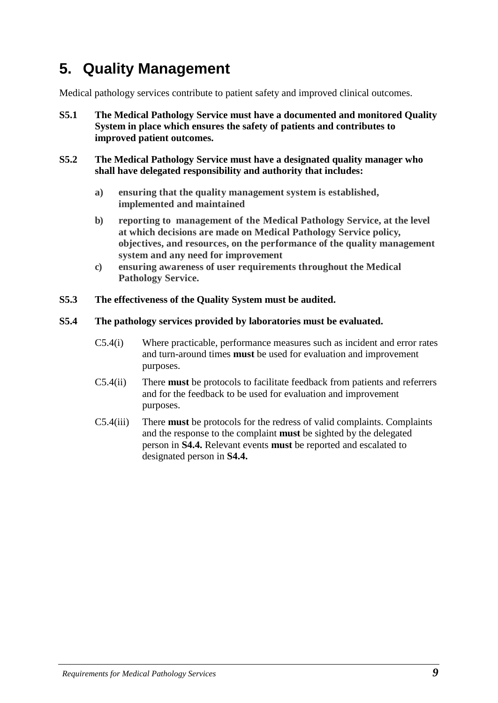## <span id="page-18-0"></span>**5. Quality Management**

Medical pathology services contribute to patient safety and improved clinical outcomes.

- **S5.1 The Medical Pathology Service must have a documented and monitored Quality System in place which ensures the safety of patients and contributes to improved patient outcomes.**
- **S5.2 The Medical Pathology Service must have a designated quality manager who shall have delegated responsibility and authority that includes:**
	- **a) ensuring that the quality management system is established, implemented and maintained**
	- **b) reporting to management of the Medical Pathology Service, at the level at which decisions are made on Medical Pathology Service policy, objectives, and resources, on the performance of the quality management system and any need for improvement**
	- **c) ensuring awareness of user requirements throughout the Medical Pathology Service.**

#### **S5.3 The effectiveness of the Quality System must be audited.**

#### **S5.4 The pathology services provided by laboratories must be evaluated.**

- C5.4(i) Where practicable, performance measures such as incident and error rates and turn-around times **must** be used for evaluation and improvement purposes.
- C5.4(ii) There **must** be protocols to facilitate feedback from patients and referrers and for the feedback to be used for evaluation and improvement purposes.
- C5.4(iii) There **must** be protocols for the redress of valid complaints. Complaints and the response to the complaint **must** be sighted by the delegated person in **S4.4.** Relevant events **must** be reported and escalated to designated person in **S4.4.**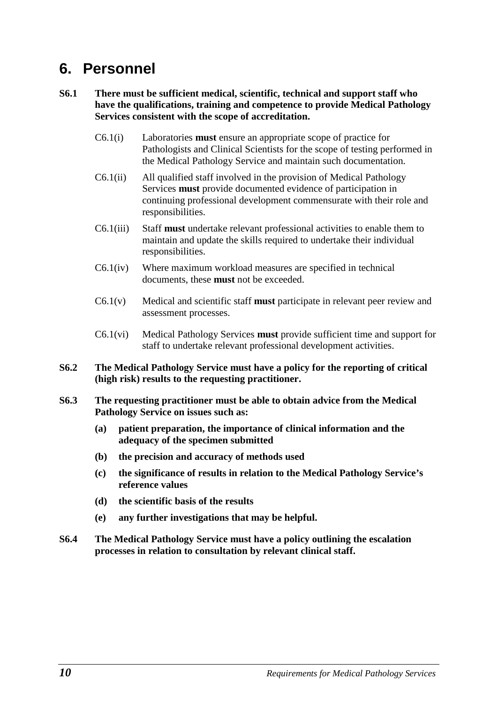### <span id="page-19-0"></span>**6. Personnel**

- **S6.1 There must be sufficient medical, scientific, technical and support staff who have the qualifications, training and competence to provide Medical Pathology Services consistent with the scope of accreditation.**
	- C6.1(i) Laboratories **must** ensure an appropriate scope of practice for Pathologists and Clinical Scientists for the scope of testing performed in the Medical Pathology Service and maintain such documentation.
	- C6.1(ii) All qualified staff involved in the provision of Medical Pathology Services **must** provide documented evidence of participation in continuing professional development commensurate with their role and responsibilities.
	- C6.1(iii) Staff **must** undertake relevant professional activities to enable them to maintain and update the skills required to undertake their individual responsibilities.
	- C6.1(iv) Where maximum workload measures are specified in technical documents, these **must** not be exceeded.
	- C6.1(v) Medical and scientific staff **must** participate in relevant peer review and assessment processes.
	- C6.1(vi) Medical Pathology Services **must** provide sufficient time and support for staff to undertake relevant professional development activities.
- **S6.2 The Medical Pathology Service must have a policy for the reporting of critical (high risk) results to the requesting practitioner.**
- **S6.3 The requesting practitioner must be able to obtain advice from the Medical Pathology Service on issues such as:**
	- **(a) patient preparation, the importance of clinical information and the adequacy of the specimen submitted**
	- **(b) the precision and accuracy of methods used**
	- **(c) the significance of results in relation to the Medical Pathology Service's reference values**
	- **(d) the scientific basis of the results**
	- **(e) any further investigations that may be helpful.**
- **S6.4 The Medical Pathology Service must have a policy outlining the escalation processes in relation to consultation by relevant clinical staff.**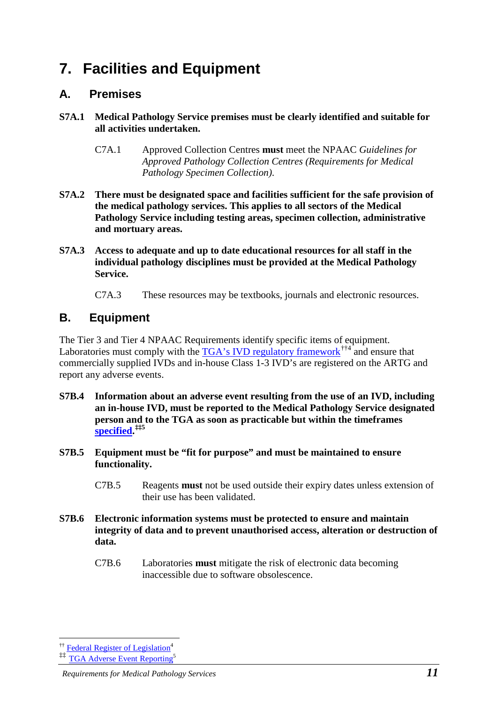### <span id="page-20-0"></span>**7. Facilities and Equipment**

### <span id="page-20-1"></span>**A. Premises**

#### **S7A.1 Medical Pathology Service premises must be clearly identified and suitable for all activities undertaken.**

- C7A.1 Approved Collection Centres **must** meet the NPAAC *Guidelines for Approved Pathology Collection Centres (Requirements for Medical Pathology Specimen Collection)*.
- **S7A.2 There must be designated space and facilities sufficient for the safe provision of the medical pathology services. This applies to all sectors of the Medical Pathology Service including testing areas, specimen collection, administrative and mortuary areas.**
- **S7A.3 Access to adequate and up to date educational resources for all staff in the individual pathology disciplines must be provided at the Medical Pathology Service.**
	- C7A.3 These resources may be textbooks, journals and electronic resources.

### <span id="page-20-2"></span>**B. Equipment**

The Tier 3 and Tier 4 NPAAC Requirements identify specific items of equipment. Laboratories must comply with the  $TGA$ 's IVD regulatory framework<sup> $\dagger$ †4</sup> and ensure that commercially supplied IVDs and in-house Class 1-3 IVD's are registered on the ARTG and report any adverse events.

- **S7B.4 Information about an adverse event resulting from the use of an IVD, including an in-house IVD, must be reported to the Medical Pathology Service designated person and to the TGA as soon as practicable but within the timeframes [specified.](https://www.tga.gov.au/reporting-adverse-events) [‡‡5](#page-20-4)**
- **S7B.5 Equipment must be "fit for purpose" and must be maintained to ensure functionality.** 
	- C7B.5 Reagents **must** not be used outside their expiry dates unless extension of their use has been validated.
- **S7B.6 Electronic information systems must be protected to ensure and maintain integrity of data and to prevent unauthorised access, alteration or destruction of data.**
	- C7B.6 Laboratories **must** mitigate the risk of electronic data becoming inaccessible due to software obsolescence.

<span id="page-20-3"></span><sup>&</sup>lt;sup>††</sup> Federal Register of Legislation<sup>4</sup>

<span id="page-20-4"></span><sup>&</sup>lt;sup>‡‡</sup> TGA Adverse Event Reporting<sup>5</sup>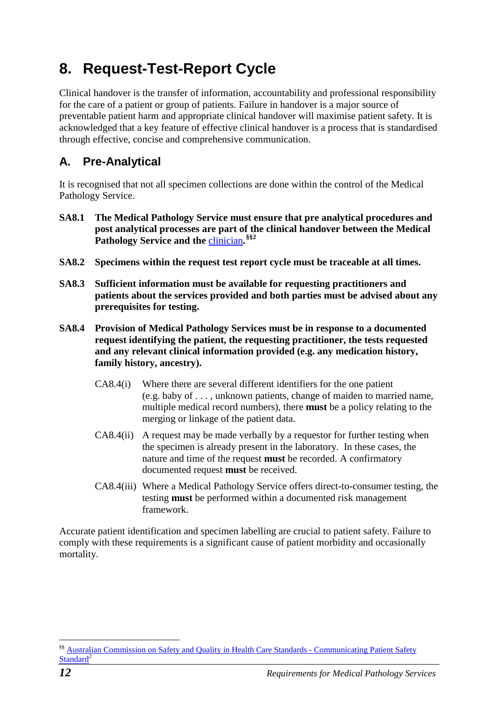## <span id="page-21-0"></span>**8. Request-Test-Report Cycle**

Clinical handover is the transfer of information, accountability and professional responsibility for the care of a patient or group of patients. Failure in handover is a major source of preventable patient harm and appropriate clinical handover will maximise patient safety. It is acknowledged that a key feature of effective clinical handover is a process that is standardised through effective, concise and comprehensive communication.

### <span id="page-21-1"></span>**A. Pre-Analytical**

It is recognised that not all specimen collections are done within the control of the Medical Pathology Service.

- **SA8.1 The Medical Pathology Service must ensure that pre analytical procedures and post analytical processes are part of the clinical handover between the Medical Pathology Service and the** [clinician](https://www.rcpa.edu.au/getattachment/cb14bc34-0a01-4c09-839c-614e098c84b6/Pathology-Request-Test-Report-Cycle-Guidelines.aspx)**. [§§2](#page-21-2)**
- **SA8.2 Specimens within the request test report cycle must be traceable at all times.**
- **SA8.3 Sufficient information must be available for requesting practitioners and patients about the services provided and both parties must be advised about any prerequisites for testing.**
- **SA8.4 Provision of Medical Pathology Services must be in response to a documented request identifying the patient, the requesting practitioner, the tests requested and any relevant clinical information provided (e.g. any medication history, family history, ancestry).**
	- CA8.4(i) Where there are several different identifiers for the one patient (e.g. baby of . . . , unknown patients, change of maiden to married name, multiple medical record numbers), there **must** be a policy relating to the merging or linkage of the patient data.
	- CA8.4(ii) A request may be made verbally by a requestor for further testing when the specimen is already present in the laboratory. In these cases, the nature and time of the request **must** be recorded. A confirmatory documented request **must** be received.
	- CA8.4(iii) Where a Medical Pathology Service offers direct-to-consumer testing, the testing **must** be performed within a documented risk management framework.

Accurate patient identification and specimen labelling are crucial to patient safety. Failure to comply with these requirements is a significant cause of patient morbidity and occasionally mortality.

<span id="page-21-2"></span> <sup>§§</sup> [Australian Commission on Safety and Quality in Health Care Standards -](https://www.safetyandquality.gov.au/our-work/national-standards-and-accreditation/) Communicating Patient Safety  $Standard<sup>2</sup>$  $Standard<sup>2</sup>$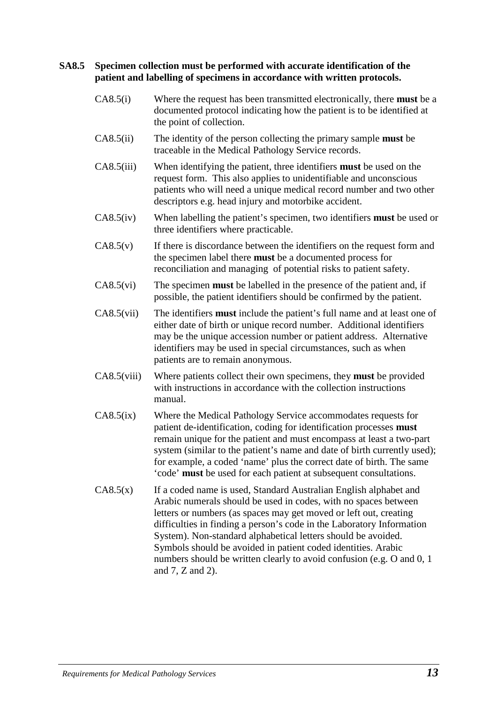#### **SA8.5 Specimen collection must be performed with accurate identification of the patient and labelling of specimens in accordance with written protocols.**

- CA8.5(i) Where the request has been transmitted electronically, there **must** be a documented protocol indicating how the patient is to be identified at the point of collection.
- CA8.5(ii) The identity of the person collecting the primary sample **must** be traceable in the Medical Pathology Service records.
- CA8.5(iii) When identifying the patient, three identifiers **must** be used on the request form. This also applies to unidentifiable and unconscious patients who will need a unique medical record number and two other descriptors e.g. head injury and motorbike accident.
- CA8.5(iv) When labelling the patient's specimen, two identifiers **must** be used or three identifiers where practicable.
- $CAS.5(v)$  If there is discordance between the identifiers on the request form and the specimen label there **must** be a documented process for reconciliation and managing of potential risks to patient safety.
- CA8.5(vi) The specimen **must** be labelled in the presence of the patient and, if possible, the patient identifiers should be confirmed by the patient.
- CA8.5(vii) The identifiers **must** include the patient's full name and at least one of either date of birth or unique record number. Additional identifiers may be the unique accession number or patient address. Alternative identifiers may be used in special circumstances, such as when patients are to remain anonymous.
- CA8.5(viii) Where patients collect their own specimens, they **must** be provided with instructions in accordance with the collection instructions manual.
- CA8.5(ix) Where the Medical Pathology Service accommodates requests for patient de-identification, coding for identification processes **must** remain unique for the patient and must encompass at least a two-part system (similar to the patient's name and date of birth currently used); for example, a coded 'name' plus the correct date of birth. The same 'code' **must** be used for each patient at subsequent consultations.
- $CAS.5(x)$  If a coded name is used, Standard Australian English alphabet and Arabic numerals should be used in codes, with no spaces between letters or numbers (as spaces may get moved or left out, creating difficulties in finding a person's code in the Laboratory Information System). Non-standard alphabetical letters should be avoided. Symbols should be avoided in patient coded identities. Arabic numbers should be written clearly to avoid confusion (e.g. O and 0, 1 and 7, Z and 2).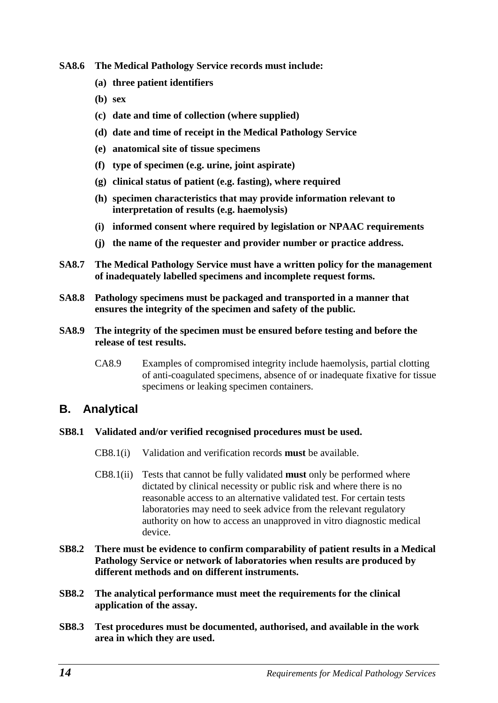#### **SA8.6 The Medical Pathology Service records must include:**

- **(a) three patient identifiers**
- **(b) sex**
- **(c) date and time of collection (where supplied)**
- **(d) date and time of receipt in the Medical Pathology Service**
- **(e) anatomical site of tissue specimens**
- **(f) type of specimen (e.g. urine, joint aspirate)**
- **(g) clinical status of patient (e.g. fasting), where required**
- **(h) specimen characteristics that may provide information relevant to interpretation of results (e.g. haemolysis)**
- **(i) informed consent where required by legislation or NPAAC requirements**
- **(j) the name of the requester and provider number or practice address.**
- **SA8.7 The Medical Pathology Service must have a written policy for the management of inadequately labelled specimens and incomplete request forms.**
- **SA8.8 Pathology specimens must be packaged and transported in a manner that ensures the integrity of the specimen and safety of the public***.*
- **SA8.9 The integrity of the specimen must be ensured before testing and before the release of test results.**
	- CA8.9 Examples of compromised integrity include haemolysis, partial clotting of anti-coagulated specimens, absence of or inadequate fixative for tissue specimens or leaking specimen containers.

### <span id="page-23-0"></span>**B. Analytical**

#### **SB8.1 Validated and/or verified recognised procedures must be used.**

- CB8.1(i) Validation and verification records **must** be available.
- CB8.1(ii) Tests that cannot be fully validated **must** only be performed where dictated by clinical necessity or public risk and where there is no reasonable access to an alternative validated test. For certain tests laboratories may need to seek advice from the relevant regulatory authority on how to access an unapproved in vitro diagnostic medical device.
- **SB8.2 There must be evidence to confirm comparability of patient results in a Medical Pathology Service or network of laboratories when results are produced by different methods and on different instruments.**
- **SB8.2 The analytical performance must meet the requirements for the clinical application of the assay.**
- **SB8.3 Test procedures must be documented, authorised, and available in the work area in which they are used.**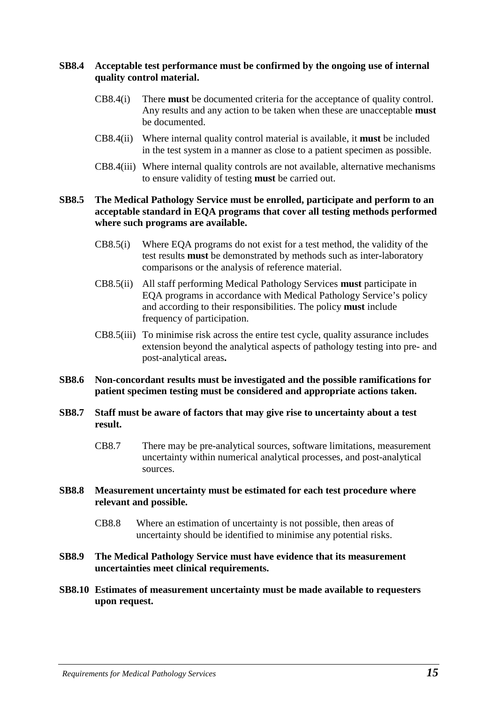#### **SB8.4 Acceptable test performance must be confirmed by the ongoing use of internal quality control material.**

- CB8.4(i) There **must** be documented criteria for the acceptance of quality control. Any results and any action to be taken when these are unacceptable **must** be documented.
- CB8.4(ii) Where internal quality control material is available, it **must** be included in the test system in a manner as close to a patient specimen as possible.
- CB8.4(iii) Where internal quality controls are not available, alternative mechanisms to ensure validity of testing **must** be carried out.

#### **SB8.5 The Medical Pathology Service must be enrolled, participate and perform to an acceptable standard in EQA programs that cover all testing methods performed where such programs are available.**

- CB8.5(i) Where EQA programs do not exist for a test method, the validity of the test results **must** be demonstrated by methods such as inter-laboratory comparisons or the analysis of reference material.
- CB8.5(ii) All staff performing Medical Pathology Services **must** participate in EQA programs in accordance with Medical Pathology Service's policy and according to their responsibilities. The policy **must** include frequency of participation.
- CB8.5(iii) To minimise risk across the entire test cycle, quality assurance includes extension beyond the analytical aspects of pathology testing into pre- and post-analytical areas**.**

#### **SB8.6 Non-concordant results must be investigated and the possible ramifications for patient specimen testing must be considered and appropriate actions taken.**

#### **SB8.7 Staff must be aware of factors that may give rise to uncertainty about a test result.**

CB8.7 There may be pre-analytical sources, software limitations, measurement uncertainty within numerical analytical processes, and post-analytical sources.

#### **SB8.8 Measurement uncertainty must be estimated for each test procedure where relevant and possible.**

- CB8.8 Where an estimation of uncertainty is not possible, then areas of uncertainty should be identified to minimise any potential risks.
- **SB8.9 The Medical Pathology Service must have evidence that its measurement uncertainties meet clinical requirements.**
- **SB8.10 Estimates of measurement uncertainty must be made available to requesters upon request.**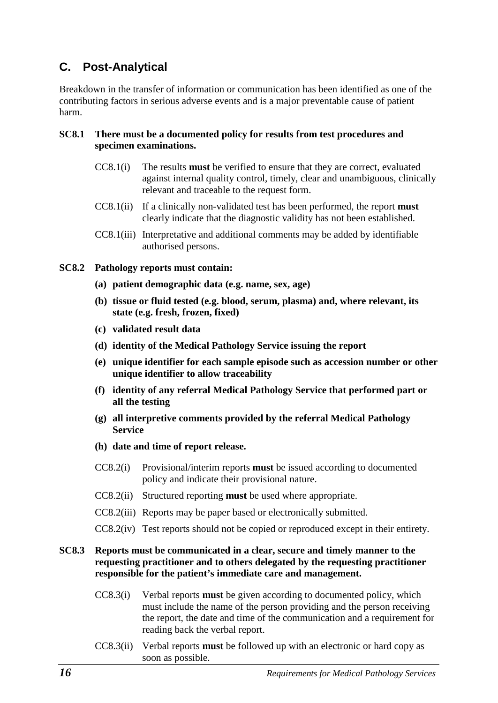### <span id="page-25-0"></span>**C. Post-Analytical**

Breakdown in the transfer of information or communication has been identified as one of the contributing factors in serious adverse events and is a major preventable cause of patient harm.

#### **SC8.1 There must be a documented policy for results from test procedures and specimen examinations.**

- CC8.1(i) The results **must** be verified to ensure that they are correct, evaluated against internal quality control, timely, clear and unambiguous, clinically relevant and traceable to the request form.
- CC8.1(ii) If a clinically non-validated test has been performed, the report **must** clearly indicate that the diagnostic validity has not been established.
- CC8.1(iii) Interpretative and additional comments may be added by identifiable authorised persons.
- **SC8.2 Pathology reports must contain:**
	- **(a) patient demographic data (e.g. name, sex, age)**
	- **(b) tissue or fluid tested (e.g. blood, serum, plasma) and, where relevant, its state (e.g. fresh, frozen, fixed)**
	- **(c) validated result data**
	- **(d) identity of the Medical Pathology Service issuing the report**
	- **(e) unique identifier for each sample episode such as accession number or other unique identifier to allow traceability**
	- **(f) identity of any referral Medical Pathology Service that performed part or all the testing**
	- **(g) all interpretive comments provided by the referral Medical Pathology Service**
	- **(h) date and time of report release.**
	- CC8.2(i) Provisional/interim reports **must** be issued according to documented policy and indicate their provisional nature.
	- CC8.2(ii) Structured reporting **must** be used where appropriate.
	- CC8.2(iii) Reports may be paper based or electronically submitted.
	- CC8.2(iv) Test reports should not be copied or reproduced except in their entirety.

### **SC8.3 Reports must be communicated in a clear, secure and timely manner to the requesting practitioner and to others delegated by the requesting practitioner responsible for the patient's immediate care and management.**

- CC8.3(i) Verbal reports **must** be given according to documented policy, which must include the name of the person providing and the person receiving the report, the date and time of the communication and a requirement for reading back the verbal report.
- CC8.3(ii) Verbal reports **must** be followed up with an electronic or hard copy as soon as possible.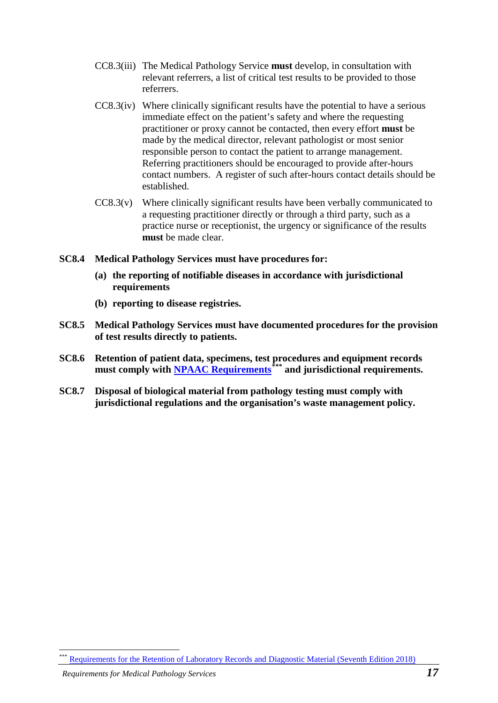- CC8.3(iii) The Medical Pathology Service **must** develop, in consultation with relevant referrers, a list of critical test results to be provided to those referrers.
- $CC8.3(iv)$  Where clinically significant results have the potential to have a serious immediate effect on the patient's safety and where the requesting practitioner or proxy cannot be contacted, then every effort **must** be made by the medical director, relevant pathologist or most senior responsible person to contact the patient to arrange management. Referring practitioners should be encouraged to provide after-hours contact numbers. A register of such after-hours contact details should be established.
- $CC8.3(v)$  Where clinically significant results have been verbally communicated to a requesting practitioner directly or through a third party, such as a practice nurse or receptionist, the urgency or significance of the results **must** be made clear.
- **SC8.4 Medical Pathology Services must have procedures for:**
	- **(a) the reporting of notifiable diseases in accordance with jurisdictional requirements**
	- **(b) reporting to disease registries.**
- **SC8.5 Medical Pathology Services must have documented procedures for the provision of test results directly to patients.**
- **SC8.6 Retention of patient data, specimens, test procedures and equipment records must comply with [NPAAC Requirements](http://www.health.gov.au/internet/main/publishing.nsf/Content/health-npaac-publication.htm)[\\*\\*\\*](#page-26-0) and jurisdictional requirements.**
- **SC8.7 Disposal of biological material from pathology testing must comply with jurisdictional regulations and the organisation's waste management policy.**

<span id="page-26-0"></span><sup>\*\*\*</sup> [Requirements for the Retention of Laboratory Records and Diagnostic Material \(Seventh Edition 2018\)](http://www.health.gov.au/internet/main/publishing.nsf/Content/health-npaac-publication.htm)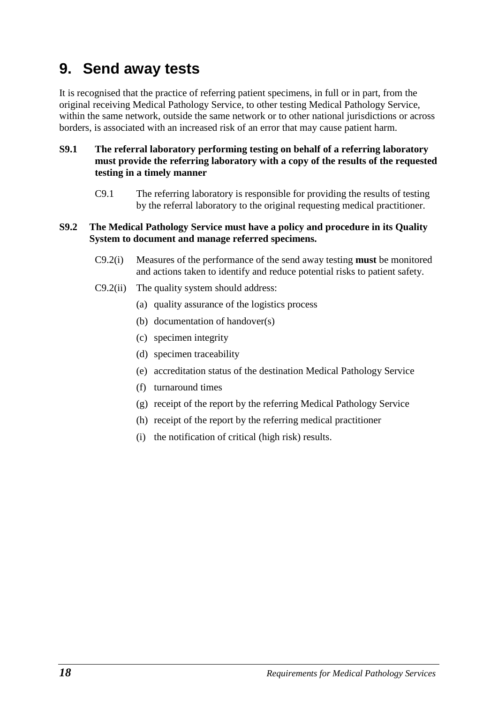### <span id="page-27-0"></span>**9. Send away tests**

It is recognised that the practice of referring patient specimens, in full or in part, from the original receiving Medical Pathology Service, to other testing Medical Pathology Service, within the same network, outside the same network or to other national jurisdictions or across borders, is associated with an increased risk of an error that may cause patient harm.

#### **S9.1 The referral laboratory performing testing on behalf of a referring laboratory must provide the referring laboratory with a copy of the results of the requested testing in a timely manner**

C9.1 The referring laboratory is responsible for providing the results of testing by the referral laboratory to the original requesting medical practitioner.

#### **S9.2 The Medical Pathology Service must have a policy and procedure in its Quality System to document and manage referred specimens.**

- C9.2(i) Measures of the performance of the send away testing **must** be monitored and actions taken to identify and reduce potential risks to patient safety.
- C9.2(ii) The quality system should address:
	- (a) quality assurance of the logistics process
	- (b) documentation of handover(s)
	- (c) specimen integrity
	- (d) specimen traceability
	- (e) accreditation status of the destination Medical Pathology Service
	- (f) turnaround times
	- (g) receipt of the report by the referring Medical Pathology Service
	- (h) receipt of the report by the referring medical practitioner
	- (i) the notification of critical (high risk) results.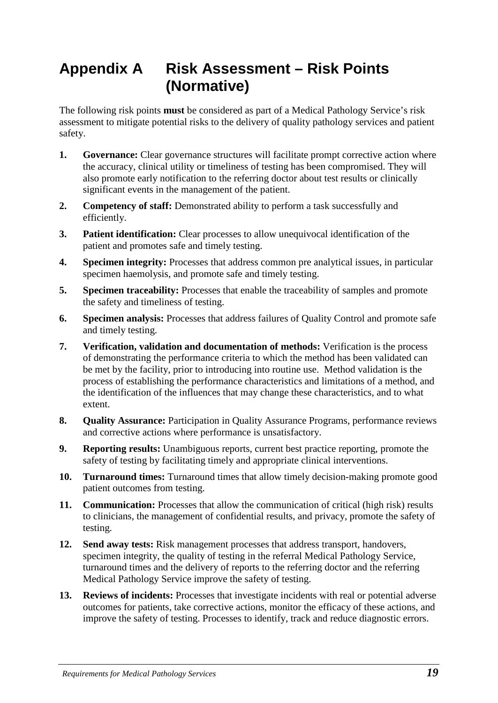## <span id="page-28-0"></span>**Appendix A Risk Assessment – Risk Points (Normative)**

The following risk points **must** be considered as part of a Medical Pathology Service's risk assessment to mitigate potential risks to the delivery of quality pathology services and patient safety.

- **1. Governance:** Clear governance structures will facilitate prompt corrective action where the accuracy, clinical utility or timeliness of testing has been compromised. They will also promote early notification to the referring doctor about test results or clinically significant events in the management of the patient.
- **2. Competency of staff:** Demonstrated ability to perform a task successfully and efficiently.
- **3. Patient identification:** Clear processes to allow unequivocal identification of the patient and promotes safe and timely testing.
- **4. Specimen integrity:** Processes that address common pre analytical issues, in particular specimen haemolysis, and promote safe and timely testing.
- **5. Specimen traceability:** Processes that enable the traceability of samples and promote the safety and timeliness of testing.
- **6. Specimen analysis:** Processes that address failures of Quality Control and promote safe and timely testing.
- **7. Verification, validation and documentation of methods:** Verification is the process of demonstrating the performance criteria to which the method has been validated can be met by the facility, prior to introducing into routine use. Method validation is the process of establishing the performance characteristics and limitations of a method, and the identification of the influences that may change these characteristics, and to what extent.
- **8. Quality Assurance:** Participation in Quality Assurance Programs, performance reviews and corrective actions where performance is unsatisfactory.
- **9. Reporting results:** Unambiguous reports, current best practice reporting, promote the safety of testing by facilitating timely and appropriate clinical interventions.
- **10. Turnaround times:** Turnaround times that allow timely decision-making promote good patient outcomes from testing.
- **11. Communication:** Processes that allow the communication of critical (high risk) results to clinicians, the management of confidential results, and privacy, promote the safety of testing.
- **12. Send away tests:** Risk management processes that address transport, handovers, specimen integrity, the quality of testing in the referral Medical Pathology Service, turnaround times and the delivery of reports to the referring doctor and the referring Medical Pathology Service improve the safety of testing.
- **13. Reviews of incidents:** Processes that investigate incidents with real or potential adverse outcomes for patients, take corrective actions, monitor the efficacy of these actions, and improve the safety of testing. Processes to identify, track and reduce diagnostic errors.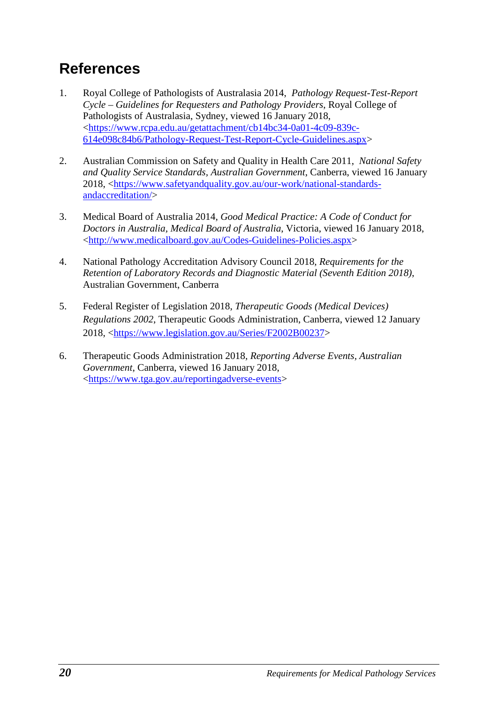### <span id="page-29-0"></span>**References**

- 1. Royal College of Pathologists of Australasia 2014, *Pathology Request-Test-Report Cycle – Guidelines for Requesters and Pathology Providers*, Royal College of Pathologists of Australasia, Sydney, viewed 16 January 2018, [<https://www.rcpa.edu.au/getattachment/cb14bc34-0a01-4c09-839c-](https://www.rcpa.edu.au/getattachment/cb14bc34-0a01-4c09-839c-614e098c84b6/Pathology-Request-Test-Report-Cycle-Guidelines.aspx)[614e098c84b6/Pathology-Request-Test-Report-Cycle-Guidelines.aspx>](https://www.rcpa.edu.au/getattachment/cb14bc34-0a01-4c09-839c-614e098c84b6/Pathology-Request-Test-Report-Cycle-Guidelines.aspx)
- 2. Australian Commission on Safety and Quality in Health Care 2011, *National Safety and Quality Service Standards, Australian Government*, Canberra, viewed 16 January 2018, [<https://www.safetyandquality.gov.au/our-work/national-standards](https://www.safetyandquality.gov.au/our-work/national-standards-andaccreditation/)[andaccreditation/>](https://www.safetyandquality.gov.au/our-work/national-standards-andaccreditation/)
- 3. Medical Board of Australia 2014, *Good Medical Practice: A Code of Conduct for Doctors in Australia, Medical Board of Australia*, Victoria, viewed 16 January 2018, [<http://www.medicalboard.gov.au/Codes-Guidelines-Policies.aspx>](http://www.medicalboard.gov.au/Codes-Guidelines-Policies.aspx)
- 4. National Pathology Accreditation Advisory Council 2018*, Requirements for the Retention of Laboratory Records and Diagnostic Material (Seventh Edition 2018)*, Australian Government, Canberra
- 5. Federal Register of Legislation 2018, *Therapeutic Goods (Medical Devices) Regulations 2002*, Therapeutic Goods Administration, Canberra, viewed 12 January 2018, [<https://www.legislation.gov.au/Series/F2002B00237>](https://www.legislation.gov.au/Series/F2002B00237)
- 6. Therapeutic Goods Administration 2018*, Reporting Adverse Events, Australian Government*, Canberra, viewed 16 January 2018, [<https://www.tga.gov.au/reportingadverse-events>](https://www.tga.gov.au/reportingadverse-events)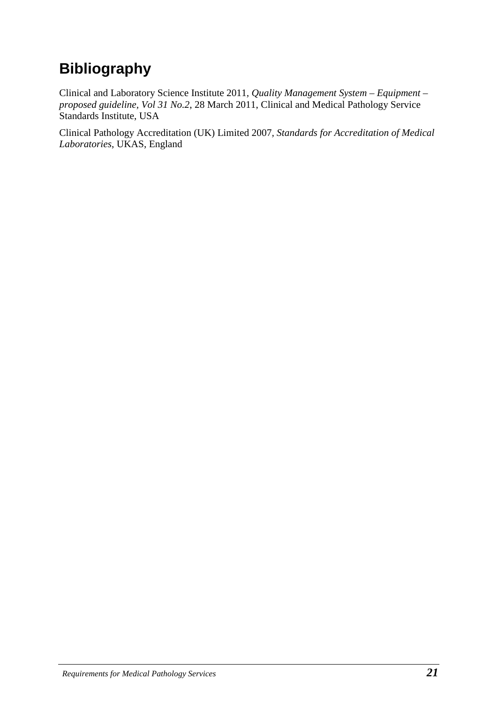## <span id="page-30-0"></span>**Bibliography**

Clinical and Laboratory Science Institute 2011*, Quality Management System – Equipment – proposed guideline, Vol 31 No.2*, 28 March 2011, Clinical and Medical Pathology Service Standards Institute, USA

Clinical Pathology Accreditation (UK) Limited 2007*, Standards for Accreditation of Medical Laboratories*, UKAS, England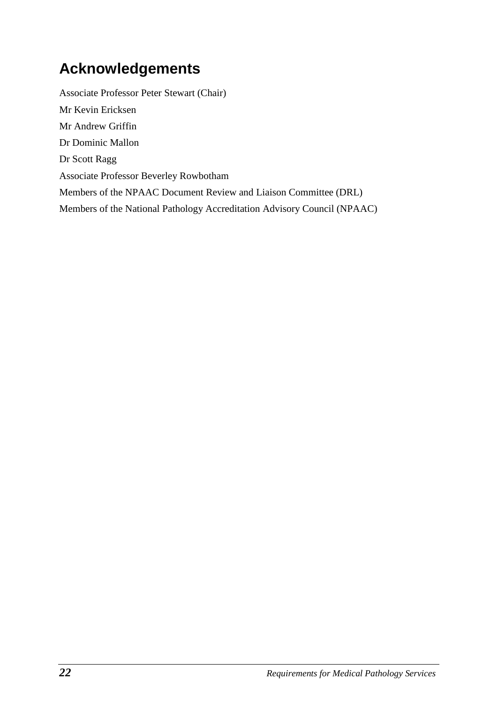## <span id="page-31-0"></span>**Acknowledgements**

Associate Professor Peter Stewart (Chair) Mr Kevin Ericksen Mr Andrew Griffin Dr Dominic Mallon Dr Scott Ragg Associate Professor Beverley Rowbotham Members of the NPAAC Document Review and Liaison Committee (DRL) Members of the National Pathology Accreditation Advisory Council (NPAAC)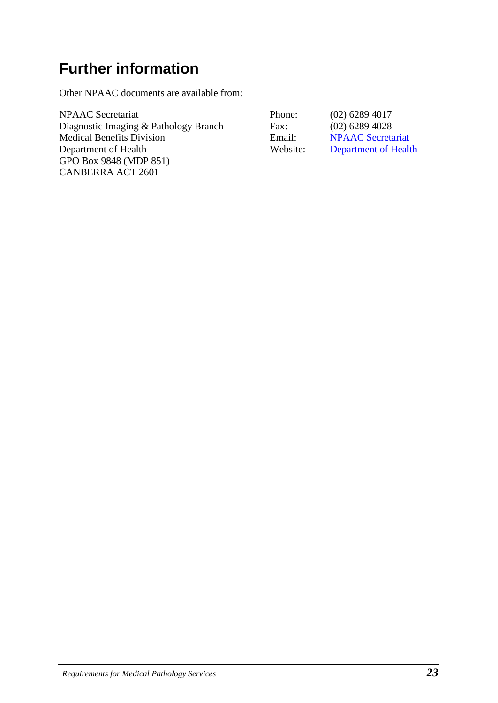## <span id="page-32-0"></span>**Further information**

Other NPAAC documents are available from:

NPAAC Secretariat Phone: (02) 6289 4017<br>Diagnostic Imaging & Pathology Branch Fax: (02) 6289 4028 Diagnostic Imaging & Pathology Branch Fax: (02) 6289 4028<br>Medical Benefits Division Email: NPAAC Secretariat Medical Benefits Division<br>
Department of Health<br>
Website: Department of Health<br>
New Website: Department of Health<br>
New Yebsite: Department of Health [Department of Health](http://www.health.gov.au/npaac) GPO Box 9848 (MDP 851) CANBERRA ACT 2601